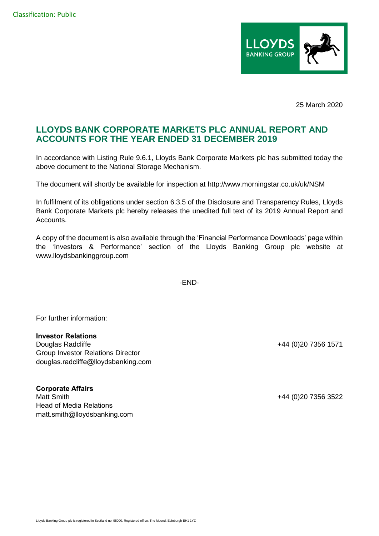

25 March 2020

## **LLOYDS BANK CORPORATE MARKETS PLC ANNUAL REPORT AND ACCOUNTS FOR THE YEAR ENDED 31 DECEMBER 2019**

In accordance with Listing Rule 9.6.1, Lloyds Bank Corporate Markets plc has submitted today the above document to the National Storage Mechanism.

The document will shortly be available for inspection at http://www.morningstar.co.uk/uk/NSM

In fulfilment of its obligations under section 6.3.5 of the Disclosure and Transparency Rules, Lloyds Bank Corporate Markets plc hereby releases the unedited full text of its 2019 Annual Report and Accounts.

A copy of the document is also available through the 'Financial Performance Downloads' page within the 'Investors & Performance' section of the Lloyds Banking Group plc website at www.lloydsbankinggroup.com

-END-

For further information:

## **Investor Relations**

Douglas Radcliffe +44 (0)20 7356 1571 Group Investor Relations Director douglas.radcliffe@lloydsbanking.com

## **Corporate Affairs**

Matt Smith +44 (0)20 7356 3522 Head of Media Relations matt.smith@lloydsbanking.com